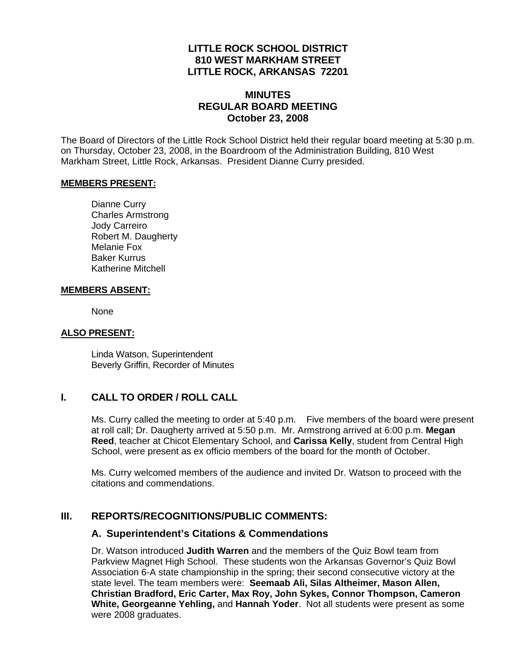### **LITTLE ROCK SCHOOL DISTRICT 810 WEST MARKHAM STREET LITTLE ROCK, ARKANSAS 72201**

# **MINUTES REGULAR BOARD MEETING October 23, 2008**

The Board of Directors of the Little Rock School District held their regular board meeting at 5:30 p.m. on Thursday, October 23, 2008, in the Boardroom of the Administration Building, 810 West Markham Street, Little Rock, Arkansas. President Dianne Curry presided.

#### **MEMBERS PRESENT:**

Dianne Curry Charles Armstrong Jody Carreiro Robert M. Daugherty Melanie Fox Baker Kurrus Katherine Mitchell

#### **MEMBERS ABSENT:**

None

#### **ALSO PRESENT:**

 Linda Watson, Superintendent Beverly Griffin, Recorder of Minutes

# **I. CALL TO ORDER / ROLL CALL**

Ms. Curry called the meeting to order at 5:40 p.m. Five members of the board were present at roll call; Dr. Daugherty arrived at 5:50 p.m. Mr. Armstrong arrived at 6:00 p.m. **Megan Reed**, teacher at Chicot Elementary School, and **Carissa Kelly**, student from Central High School, were present as ex officio members of the board for the month of October.

Ms. Curry welcomed members of the audience and invited Dr. Watson to proceed with the citations and commendations.

## **III. REPORTS/RECOGNITIONS/PUBLIC COMMENTS:**

## **A. Superintendent's Citations & Commendations**

Dr. Watson introduced **Judith Warren** and the members of the Quiz Bowl team from Parkview Magnet High School. These students won the Arkansas Governor's Quiz Bowl Association 6-A state championship in the spring; their second consecutive victory at the state level. The team members were: **Seemaab Ali, Silas Altheimer, Mason Allen, Christian Bradford, Eric Carter, Max Roy, John Sykes, Connor Thompson, Cameron White, Georgeanne Yehling,** and **Hannah Yoder**. Not all students were present as some were 2008 graduates.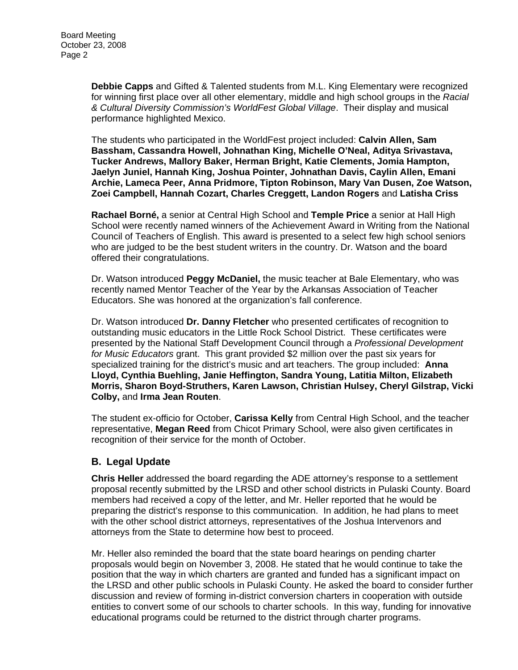**Debbie Capps** and Gifted & Talented students from M.L. King Elementary were recognized for winning first place over all other elementary, middle and high school groups in the *Racial & Cultural Diversity Commission's WorldFest Global Village*. Their display and musical performance highlighted Mexico.

The students who participated in the WorldFest project included: **Calvin Allen, Sam Bassham, Cassandra Howell, Johnathan King, Michelle O'Neal, Aditya Srivastava, Tucker Andrews, Mallory Baker, Herman Bright, Katie Clements, Jomia Hampton, Jaelyn Juniel, Hannah King, Joshua Pointer, Johnathan Davis, Caylin Allen, Emani Archie, Lameca Peer, Anna Pridmore, Tipton Robinson, Mary Van Dusen, Zoe Watson, Zoei Campbell, Hannah Cozart, Charles Creggett, Landon Rogers** and **Latisha Criss** 

**Rachael Borné,** a senior at Central High School and **Temple Price** a senior at Hall High School were recently named winners of the Achievement Award in Writing from the National Council of Teachers of English. This award is presented to a select few high school seniors who are judged to be the best student writers in the country. Dr. Watson and the board offered their congratulations.

Dr. Watson introduced **Peggy McDaniel,** the music teacher at Bale Elementary, who was recently named Mentor Teacher of the Year by the Arkansas Association of Teacher Educators. She was honored at the organization's fall conference.

Dr. Watson introduced **Dr. Danny Fletcher** who presented certificates of recognition to outstanding music educators in the Little Rock School District. These certificates were presented by the National Staff Development Council through a *Professional Development for Music Educators* grant. This grant provided \$2 million over the past six years for specialized training for the district's music and art teachers. The group included: **Anna Lloyd, Cynthia Buehling, Janie Heffington, Sandra Young, Latitia Milton, Elizabeth Morris, Sharon Boyd-Struthers, Karen Lawson, Christian Hulsey, Cheryl Gilstrap, Vicki Colby,** and **Irma Jean Routen**.

The student ex-officio for October, **Carissa Kelly** from Central High School, and the teacher representative, **Megan Reed** from Chicot Primary School, were also given certificates in recognition of their service for the month of October.

## **B. Legal Update**

**Chris Heller** addressed the board regarding the ADE attorney's response to a settlement proposal recently submitted by the LRSD and other school districts in Pulaski County. Board members had received a copy of the letter, and Mr. Heller reported that he would be preparing the district's response to this communication. In addition, he had plans to meet with the other school district attorneys, representatives of the Joshua Intervenors and attorneys from the State to determine how best to proceed.

Mr. Heller also reminded the board that the state board hearings on pending charter proposals would begin on November 3, 2008. He stated that he would continue to take the position that the way in which charters are granted and funded has a significant impact on the LRSD and other public schools in Pulaski County. He asked the board to consider further discussion and review of forming in-district conversion charters in cooperation with outside entities to convert some of our schools to charter schools. In this way, funding for innovative educational programs could be returned to the district through charter programs.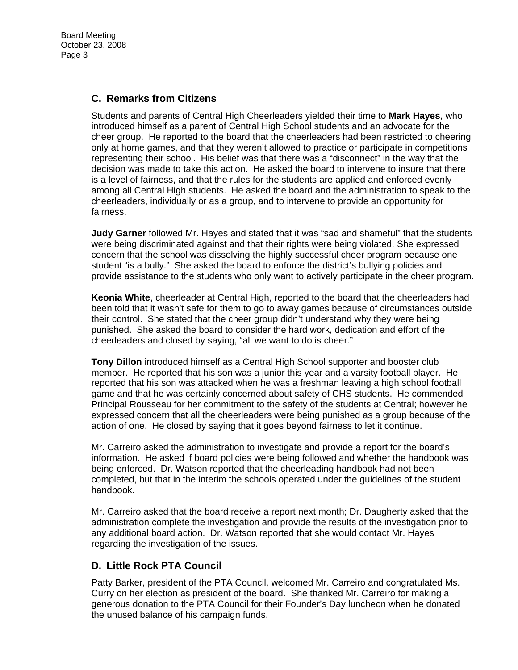Board Meeting October 23, 2008 Page 3

### **C. Remarks from Citizens**

Students and parents of Central High Cheerleaders yielded their time to **Mark Hayes**, who introduced himself as a parent of Central High School students and an advocate for the cheer group. He reported to the board that the cheerleaders had been restricted to cheering only at home games, and that they weren't allowed to practice or participate in competitions representing their school. His belief was that there was a "disconnect" in the way that the decision was made to take this action. He asked the board to intervene to insure that there is a level of fairness, and that the rules for the students are applied and enforced evenly among all Central High students. He asked the board and the administration to speak to the cheerleaders, individually or as a group, and to intervene to provide an opportunity for fairness.

**Judy Garner** followed Mr. Hayes and stated that it was "sad and shameful" that the students were being discriminated against and that their rights were being violated. She expressed concern that the school was dissolving the highly successful cheer program because one student "is a bully." She asked the board to enforce the district's bullying policies and provide assistance to the students who only want to actively participate in the cheer program.

**Keonia White**, cheerleader at Central High, reported to the board that the cheerleaders had been told that it wasn't safe for them to go to away games because of circumstances outside their control. She stated that the cheer group didn't understand why they were being punished. She asked the board to consider the hard work, dedication and effort of the cheerleaders and closed by saying, "all we want to do is cheer."

**Tony Dillon** introduced himself as a Central High School supporter and booster club member. He reported that his son was a junior this year and a varsity football player. He reported that his son was attacked when he was a freshman leaving a high school football game and that he was certainly concerned about safety of CHS students. He commended Principal Rousseau for her commitment to the safety of the students at Central; however he expressed concern that all the cheerleaders were being punished as a group because of the action of one. He closed by saying that it goes beyond fairness to let it continue.

Mr. Carreiro asked the administration to investigate and provide a report for the board's information. He asked if board policies were being followed and whether the handbook was being enforced. Dr. Watson reported that the cheerleading handbook had not been completed, but that in the interim the schools operated under the guidelines of the student handbook.

Mr. Carreiro asked that the board receive a report next month; Dr. Daugherty asked that the administration complete the investigation and provide the results of the investigation prior to any additional board action. Dr. Watson reported that she would contact Mr. Hayes regarding the investigation of the issues.

## **D. Little Rock PTA Council**

Patty Barker, president of the PTA Council, welcomed Mr. Carreiro and congratulated Ms. Curry on her election as president of the board. She thanked Mr. Carreiro for making a generous donation to the PTA Council for their Founder's Day luncheon when he donated the unused balance of his campaign funds.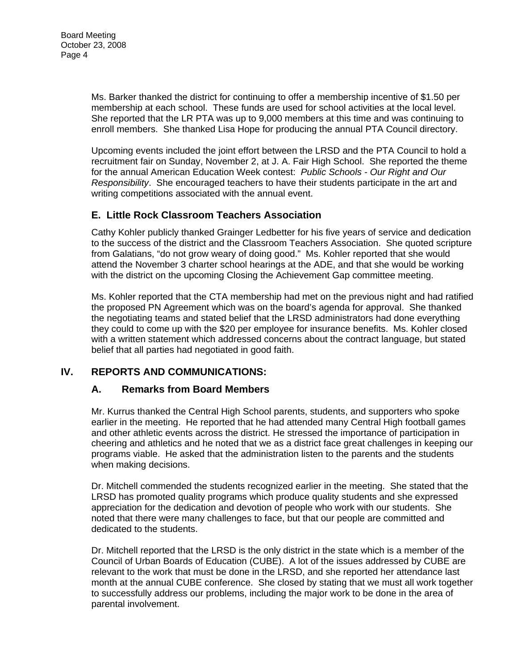Ms. Barker thanked the district for continuing to offer a membership incentive of \$1.50 per membership at each school. These funds are used for school activities at the local level. She reported that the LR PTA was up to 9,000 members at this time and was continuing to enroll members. She thanked Lisa Hope for producing the annual PTA Council directory.

Upcoming events included the joint effort between the LRSD and the PTA Council to hold a recruitment fair on Sunday, November 2, at J. A. Fair High School. She reported the theme for the annual American Education Week contest: *Public Schools - Our Right and Our Responsibility*. She encouraged teachers to have their students participate in the art and writing competitions associated with the annual event.

# **E. Little Rock Classroom Teachers Association**

Cathy Kohler publicly thanked Grainger Ledbetter for his five years of service and dedication to the success of the district and the Classroom Teachers Association. She quoted scripture from Galatians, "do not grow weary of doing good." Ms. Kohler reported that she would attend the November 3 charter school hearings at the ADE, and that she would be working with the district on the upcoming Closing the Achievement Gap committee meeting.

Ms. Kohler reported that the CTA membership had met on the previous night and had ratified the proposed PN Agreement which was on the board's agenda for approval. She thanked the negotiating teams and stated belief that the LRSD administrators had done everything they could to come up with the \$20 per employee for insurance benefits. Ms. Kohler closed with a written statement which addressed concerns about the contract language, but stated belief that all parties had negotiated in good faith.

# **IV. REPORTS AND COMMUNICATIONS:**

## **A. Remarks from Board Members**

Mr. Kurrus thanked the Central High School parents, students, and supporters who spoke earlier in the meeting. He reported that he had attended many Central High football games and other athletic events across the district. He stressed the importance of participation in cheering and athletics and he noted that we as a district face great challenges in keeping our programs viable. He asked that the administration listen to the parents and the students when making decisions.

Dr. Mitchell commended the students recognized earlier in the meeting. She stated that the LRSD has promoted quality programs which produce quality students and she expressed appreciation for the dedication and devotion of people who work with our students. She noted that there were many challenges to face, but that our people are committed and dedicated to the students.

Dr. Mitchell reported that the LRSD is the only district in the state which is a member of the Council of Urban Boards of Education (CUBE). A lot of the issues addressed by CUBE are relevant to the work that must be done in the LRSD, and she reported her attendance last month at the annual CUBE conference. She closed by stating that we must all work together to successfully address our problems, including the major work to be done in the area of parental involvement.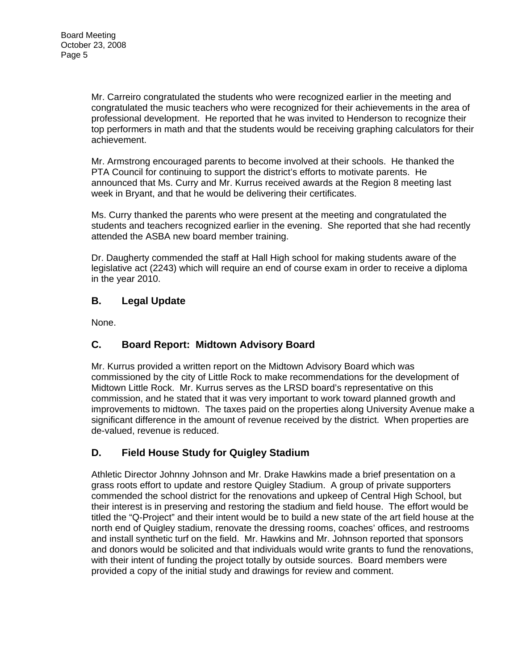Mr. Carreiro congratulated the students who were recognized earlier in the meeting and congratulated the music teachers who were recognized for their achievements in the area of professional development. He reported that he was invited to Henderson to recognize their top performers in math and that the students would be receiving graphing calculators for their achievement.

Mr. Armstrong encouraged parents to become involved at their schools. He thanked the PTA Council for continuing to support the district's efforts to motivate parents. He announced that Ms. Curry and Mr. Kurrus received awards at the Region 8 meeting last week in Bryant, and that he would be delivering their certificates.

Ms. Curry thanked the parents who were present at the meeting and congratulated the students and teachers recognized earlier in the evening. She reported that she had recently attended the ASBA new board member training.

Dr. Daugherty commended the staff at Hall High school for making students aware of the legislative act (2243) which will require an end of course exam in order to receive a diploma in the year 2010.

# **B. Legal Update**

None.

# **C. Board Report: Midtown Advisory Board**

Mr. Kurrus provided a written report on the Midtown Advisory Board which was commissioned by the city of Little Rock to make recommendations for the development of Midtown Little Rock. Mr. Kurrus serves as the LRSD board's representative on this commission, and he stated that it was very important to work toward planned growth and improvements to midtown. The taxes paid on the properties along University Avenue make a significant difference in the amount of revenue received by the district. When properties are de-valued, revenue is reduced.

# **D. Field House Study for Quigley Stadium**

Athletic Director Johnny Johnson and Mr. Drake Hawkins made a brief presentation on a grass roots effort to update and restore Quigley Stadium. A group of private supporters commended the school district for the renovations and upkeep of Central High School, but their interest is in preserving and restoring the stadium and field house. The effort would be titled the "Q-Project" and their intent would be to build a new state of the art field house at the north end of Quigley stadium, renovate the dressing rooms, coaches' offices, and restrooms and install synthetic turf on the field. Mr. Hawkins and Mr. Johnson reported that sponsors and donors would be solicited and that individuals would write grants to fund the renovations, with their intent of funding the project totally by outside sources. Board members were provided a copy of the initial study and drawings for review and comment.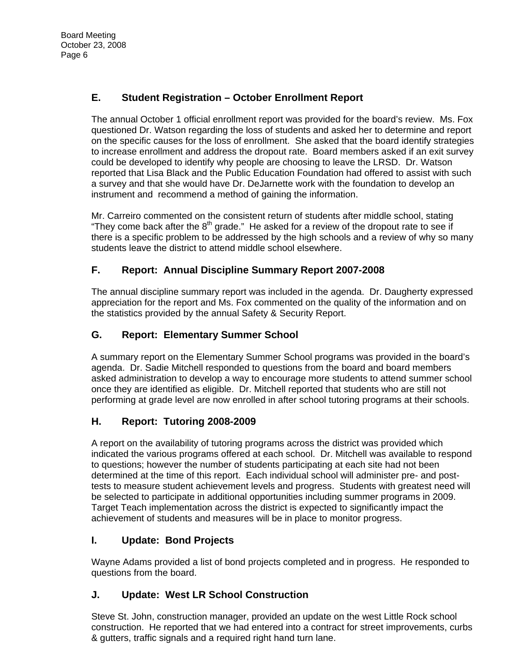# **E. Student Registration – October Enrollment Report**

The annual October 1 official enrollment report was provided for the board's review. Ms. Fox questioned Dr. Watson regarding the loss of students and asked her to determine and report on the specific causes for the loss of enrollment. She asked that the board identify strategies to increase enrollment and address the dropout rate. Board members asked if an exit survey could be developed to identify why people are choosing to leave the LRSD. Dr. Watson reported that Lisa Black and the Public Education Foundation had offered to assist with such a survey and that she would have Dr. DeJarnette work with the foundation to develop an instrument and recommend a method of gaining the information.

Mr. Carreiro commented on the consistent return of students after middle school, stating "They come back after the  $8<sup>th</sup>$  grade." He asked for a review of the dropout rate to see if there is a specific problem to be addressed by the high schools and a review of why so many students leave the district to attend middle school elsewhere.

# **F. Report: Annual Discipline Summary Report 2007-2008**

The annual discipline summary report was included in the agenda. Dr. Daugherty expressed appreciation for the report and Ms. Fox commented on the quality of the information and on the statistics provided by the annual Safety & Security Report.

# **G. Report: Elementary Summer School**

A summary report on the Elementary Summer School programs was provided in the board's agenda. Dr. Sadie Mitchell responded to questions from the board and board members asked administration to develop a way to encourage more students to attend summer school once they are identified as eligible. Dr. Mitchell reported that students who are still not performing at grade level are now enrolled in after school tutoring programs at their schools.

# **H. Report: Tutoring 2008-2009**

A report on the availability of tutoring programs across the district was provided which indicated the various programs offered at each school. Dr. Mitchell was available to respond to questions; however the number of students participating at each site had not been determined at the time of this report. Each individual school will administer pre- and posttests to measure student achievement levels and progress. Students with greatest need will be selected to participate in additional opportunities including summer programs in 2009. Target Teach implementation across the district is expected to significantly impact the achievement of students and measures will be in place to monitor progress.

# **I. Update: Bond Projects**

Wayne Adams provided a list of bond projects completed and in progress. He responded to questions from the board.

# **J. Update: West LR School Construction**

Steve St. John, construction manager, provided an update on the west Little Rock school construction. He reported that we had entered into a contract for street improvements, curbs & gutters, traffic signals and a required right hand turn lane.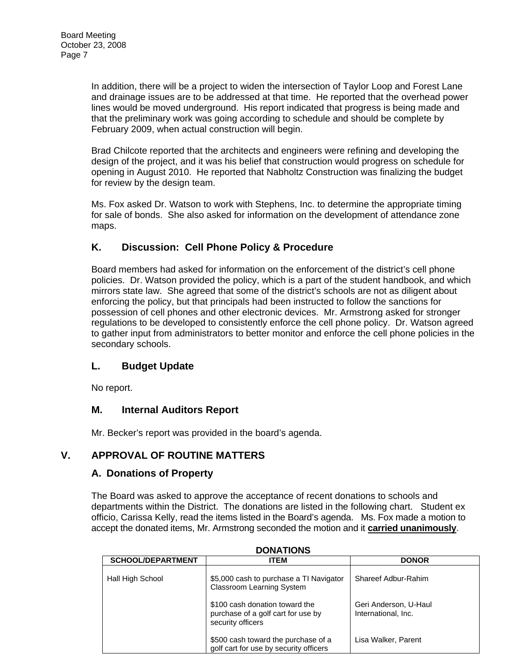In addition, there will be a project to widen the intersection of Taylor Loop and Forest Lane and drainage issues are to be addressed at that time. He reported that the overhead power lines would be moved underground. His report indicated that progress is being made and that the preliminary work was going according to schedule and should be complete by February 2009, when actual construction will begin.

Brad Chilcote reported that the architects and engineers were refining and developing the design of the project, and it was his belief that construction would progress on schedule for opening in August 2010. He reported that Nabholtz Construction was finalizing the budget for review by the design team.

Ms. Fox asked Dr. Watson to work with Stephens, Inc. to determine the appropriate timing for sale of bonds. She also asked for information on the development of attendance zone maps.

# **K. Discussion: Cell Phone Policy & Procedure**

Board members had asked for information on the enforcement of the district's cell phone policies. Dr. Watson provided the policy, which is a part of the student handbook, and which mirrors state law. She agreed that some of the district's schools are not as diligent about enforcing the policy, but that principals had been instructed to follow the sanctions for possession of cell phones and other electronic devices. Mr. Armstrong asked for stronger regulations to be developed to consistently enforce the cell phone policy. Dr. Watson agreed to gather input from administrators to better monitor and enforce the cell phone policies in the secondary schools.

# **L. Budget Update**

No report.

# **M. Internal Auditors Report**

Mr. Becker's report was provided in the board's agenda.

# **V. APPROVAL OF ROUTINE MATTERS**

## **A. Donations of Property**

The Board was asked to approve the acceptance of recent donations to schools and departments within the District. The donations are listed in the following chart. Student ex officio, Carissa Kelly, read the items listed in the Board's agenda. Ms. Fox made a motion to accept the donated items, Mr. Armstrong seconded the motion and it **carried unanimously**.

| <b>DONATIONS</b>         |                                                                                           |                                              |
|--------------------------|-------------------------------------------------------------------------------------------|----------------------------------------------|
| <b>SCHOOL/DEPARTMENT</b> | <b>ITEM</b>                                                                               | <b>DONOR</b>                                 |
| Hall High School         | \$5,000 cash to purchase a TI Navigator<br><b>Classroom Learning System</b>               | Shareef Adbur-Rahim                          |
|                          | \$100 cash donation toward the<br>purchase of a golf cart for use by<br>security officers | Geri Anderson, U-Haul<br>International, Inc. |
|                          | \$500 cash toward the purchase of a<br>golf cart for use by security officers             | Lisa Walker, Parent                          |

**DONATIONS**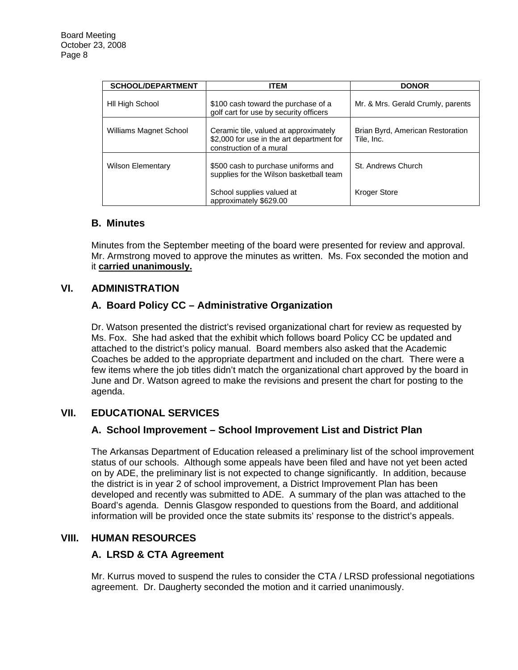| <b>SCHOOL/DEPARTMENT</b> | <b>ITEM</b>                                                                                                   | <b>DONOR</b>                                   |
|--------------------------|---------------------------------------------------------------------------------------------------------------|------------------------------------------------|
| HII High School          | \$100 cash toward the purchase of a<br>golf cart for use by security officers                                 | Mr. & Mrs. Gerald Crumly, parents              |
| Williams Magnet School   | Ceramic tile, valued at approximately<br>\$2,000 for use in the art department for<br>construction of a mural | Brian Byrd, American Restoration<br>Tile, Inc. |
| <b>Wilson Elementary</b> | \$500 cash to purchase uniforms and<br>supplies for the Wilson basketball team                                | St. Andrews Church                             |
|                          | School supplies valued at<br>approximately \$629.00                                                           | <b>Kroger Store</b>                            |

#### **B. Minutes**

Minutes from the September meeting of the board were presented for review and approval. Mr. Armstrong moved to approve the minutes as written. Ms. Fox seconded the motion and it **carried unanimously.**

## **VI. ADMINISTRATION**

# **A. Board Policy CC – Administrative Organization**

Dr. Watson presented the district's revised organizational chart for review as requested by Ms. Fox. She had asked that the exhibit which follows board Policy CC be updated and attached to the district's policy manual. Board members also asked that the Academic Coaches be added to the appropriate department and included on the chart. There were a few items where the job titles didn't match the organizational chart approved by the board in June and Dr. Watson agreed to make the revisions and present the chart for posting to the agenda.

# **VII. EDUCATIONAL SERVICES**

## **A. School Improvement – School Improvement List and District Plan**

The Arkansas Department of Education released a preliminary list of the school improvement status of our schools. Although some appeals have been filed and have not yet been acted on by ADE, the preliminary list is not expected to change significantly. In addition, because the district is in year 2 of school improvement, a District Improvement Plan has been developed and recently was submitted to ADE. A summary of the plan was attached to the Board's agenda. Dennis Glasgow responded to questions from the Board, and additional information will be provided once the state submits its' response to the district's appeals.

## **VIII. HUMAN RESOURCES**

## **A. LRSD & CTA Agreement**

Mr. Kurrus moved to suspend the rules to consider the CTA / LRSD professional negotiations agreement. Dr. Daugherty seconded the motion and it carried unanimously.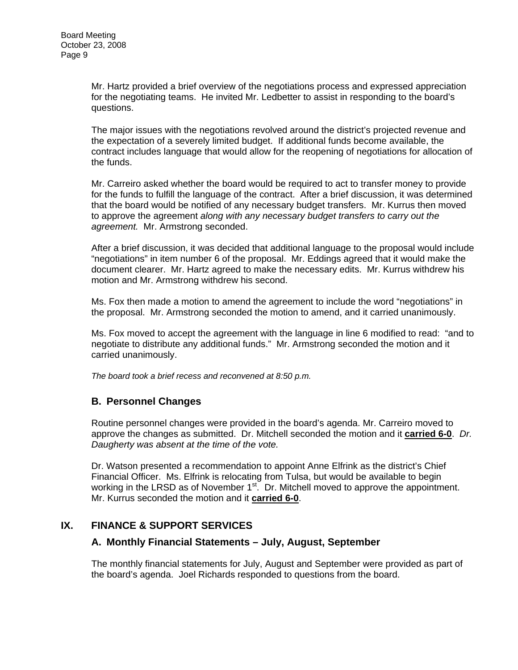Mr. Hartz provided a brief overview of the negotiations process and expressed appreciation for the negotiating teams. He invited Mr. Ledbetter to assist in responding to the board's questions.

The major issues with the negotiations revolved around the district's projected revenue and the expectation of a severely limited budget. If additional funds become available, the contract includes language that would allow for the reopening of negotiations for allocation of the funds.

Mr. Carreiro asked whether the board would be required to act to transfer money to provide for the funds to fulfill the language of the contract. After a brief discussion, it was determined that the board would be notified of any necessary budget transfers. Mr. Kurrus then moved to approve the agreement *along with any necessary budget transfers to carry out the agreement.* Mr. Armstrong seconded.

After a brief discussion, it was decided that additional language to the proposal would include "negotiations" in item number 6 of the proposal. Mr. Eddings agreed that it would make the document clearer. Mr. Hartz agreed to make the necessary edits. Mr. Kurrus withdrew his motion and Mr. Armstrong withdrew his second.

Ms. Fox then made a motion to amend the agreement to include the word "negotiations" in the proposal. Mr. Armstrong seconded the motion to amend, and it carried unanimously.

Ms. Fox moved to accept the agreement with the language in line 6 modified to read: "and to negotiate to distribute any additional funds." Mr. Armstrong seconded the motion and it carried unanimously.

*The board took a brief recess and reconvened at 8:50 p.m.* 

## **B. Personnel Changes**

Routine personnel changes were provided in the board's agenda. Mr. Carreiro moved to approve the changes as submitted. Dr. Mitchell seconded the motion and it **carried 6-0**. *Dr. Daugherty was absent at the time of the vote.* 

Dr. Watson presented a recommendation to appoint Anne Elfrink as the district's Chief Financial Officer. Ms. Elfrink is relocating from Tulsa, but would be available to begin working in the LRSD as of November 1<sup>st</sup>. Dr. Mitchell moved to approve the appointment. Mr. Kurrus seconded the motion and it **carried 6-0**.

## **IX. FINANCE & SUPPORT SERVICES**

## **A. Monthly Financial Statements – July, August, September**

The monthly financial statements for July, August and September were provided as part of the board's agenda. Joel Richards responded to questions from the board.